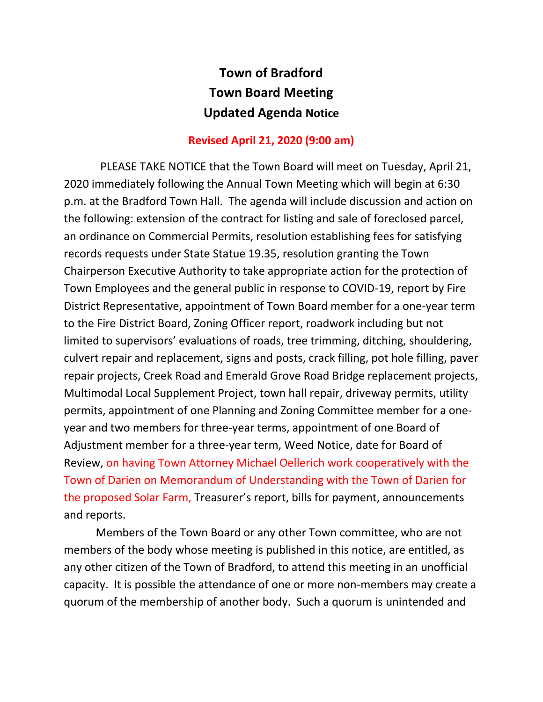## **Town of Bradford Town Board Meeting Updated Agenda Notice**

## **Revised April 21, 2020 (9:00 am)**

 PLEASE TAKE NOTICE that the Town Board will meet on Tuesday, April 21, 2020 immediately following the Annual Town Meeting which will begin at 6:30 p.m. at the Bradford Town Hall. The agenda will include discussion and action on the following: extension of the contract for listing and sale of foreclosed parcel, an ordinance on Commercial Permits, resolution establishing fees for satisfying records requests under State Statue 19.35, resolution granting the Town Chairperson Executive Authority to take appropriate action for the protection of Town Employees and the general public in response to COVID-19, report by Fire District Representative, appointment of Town Board member for a one-year term to the Fire District Board, Zoning Officer report, roadwork including but not limited to supervisors' evaluations of roads, tree trimming, ditching, shouldering, culvert repair and replacement, signs and posts, crack filling, pot hole filling, paver repair projects, Creek Road and Emerald Grove Road Bridge replacement projects, Multimodal Local Supplement Project, town hall repair, driveway permits, utility permits, appointment of one Planning and Zoning Committee member for a oneyear and two members for three-year terms, appointment of one Board of Adjustment member for a three-year term, Weed Notice, date for Board of Review, on having Town Attorney Michael Oellerich work cooperatively with the Town of Darien on Memorandum of Understanding with the Town of Darien for the proposed Solar Farm, Treasurer's report, bills for payment, announcements and reports.

Members of the Town Board or any other Town committee, who are not members of the body whose meeting is published in this notice, are entitled, as any other citizen of the Town of Bradford, to attend this meeting in an unofficial capacity. It is possible the attendance of one or more non-members may create a quorum of the membership of another body. Such a quorum is unintended and